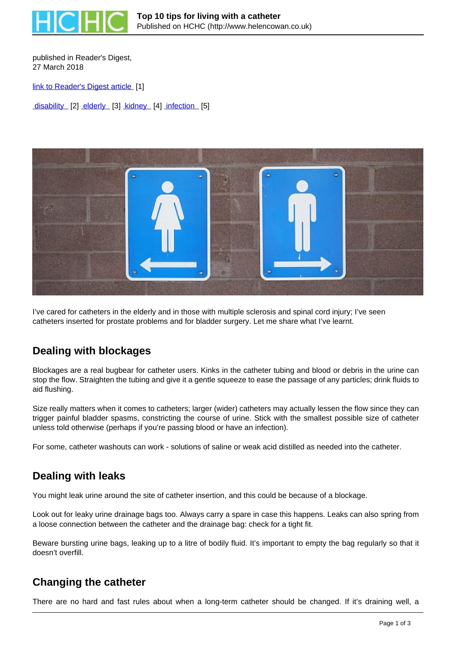

published in Reader's Digest. 27 March 2018

[link to Reader's Digest article](https://www.readersdigest.co.uk/health/health-conditions/top-10-tips-for-living-with-a-catheter) [1]

disability [2] elderly [3] kidney [4] infection [5]



I've cared for catheters in the elderly and in those with multiple sclerosis and spinal cord injury; I've seen catheters inserted for prostate problems and for bladder surgery. Let me share what I've learnt.

#### **Dealing with blockages**

Blockages are a real bugbear for catheter users. Kinks in the catheter tubing and blood or debris in the urine can stop the flow. Straighten the tubing and give it a gentle squeeze to ease the passage of any particles; drink fluids to aid flushing.

Size really matters when it comes to catheters; larger (wider) catheters may actually lessen the flow since they can trigger painful bladder spasms, constricting the course of urine. Stick with the smallest possible size of catheter unless told otherwise (perhaps if you're passing blood or have an infection).

For some, catheter washouts can work - solutions of saline or weak acid distilled as needed into the catheter.

#### **Dealing with leaks**

You might leak urine around the site of catheter insertion, and this could be because of a blockage.

Look out for leaky urine drainage bags too. Always carry a spare in case this happens. Leaks can also spring from a loose connection between the catheter and the drainage bag: check for a tight fit.

Beware bursting urine bags, leaking up to a litre of bodily fluid. It's important to empty the bag regularly so that it doesn't overfill.

#### **Changing the catheter**

There are no hard and fast rules about when a long-term catheter should be changed. If it's draining well, a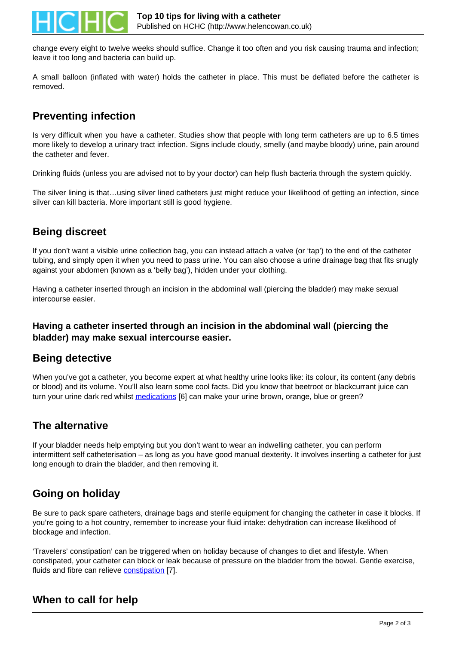

change every eight to twelve weeks should suffice. Change it too often and you risk causing trauma and infection; leave it too long and bacteria can build up.

A small balloon (inflated with water) holds the catheter in place. This must be deflated before the catheter is removed.

# **Preventing infection**

Is very difficult when you have a catheter. Studies show that people with long term catheters are up to 6.5 times more likely to develop a urinary tract infection. Signs include cloudy, smelly (and maybe bloody) urine, pain around the catheter and fever.

Drinking fluids (unless you are advised not to by your doctor) can help flush bacteria through the system quickly.

The silver lining is that…using silver lined catheters just might reduce your likelihood of getting an infection, since silver can kill bacteria. More important still is good hygiene.

## **Being discreet**

If you don't want a visible urine collection bag, you can instead attach a valve (or 'tap') to the end of the catheter tubing, and simply open it when you need to pass urine. You can also choose a urine drainage bag that fits snugly against your abdomen (known as a 'belly bag'), hidden under your clothing.

Having a catheter inserted through an incision in the abdominal wall (piercing the bladder) may make sexual intercourse easier.

#### **Having a catheter inserted through an incision in the abdominal wall (piercing the bladder) may make sexual intercourse easier.**

#### **Being detective**

When you've got a catheter, you become expert at what healthy urine looks like: its colour, its content (any debris or blood) and its volume. You'll also learn some cool facts. Did you know that beetroot or blackcurrant juice can turn your urine dark red whilst medications [6] can make your urine brown, orange, blue or green?

## **The alternative**

If your bladder needs help emptying but you don't want to wear an indwelling catheter, you can perform intermittent self catheterisation – as long as you have good manual dexterity. It involves inserting a catheter for just long enough to drain the bladder, and then removing it.

# **Going on holiday**

Be sure to pack spare catheters, drainage bags and sterile equipment for changing the catheter in case it blocks. If you're going to a hot country, remember to increase your fluid intake: dehydration can increase likelihood of blockage and infection.

'Travelers' constipation' can be triggered when on holiday because of changes to diet and lifestyle. When constipated, your catheter can block or leak because of pressure on the bladder from the bowel. Gentle exercise, fluids and fibre can relieve constipation [7].

## **When to call for help**